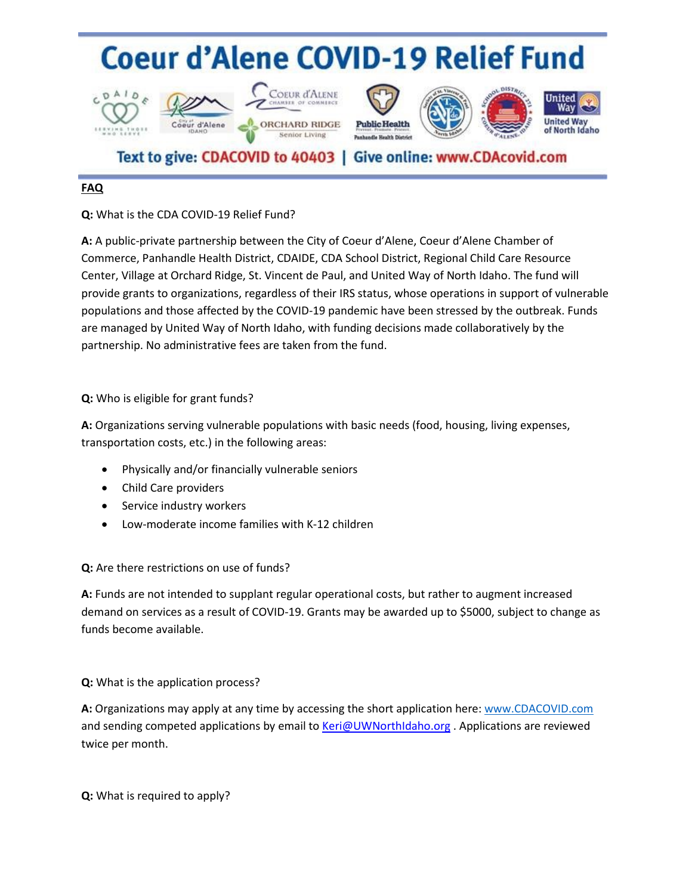## **Coeur d'Alene COVID-19 Relief Fund**













## Text to give: CDACOVID to 40403 | Give online: www.CDAcovid.com

## **FAQ**

**Q:** What is the CDA COVID-19 Relief Fund?

**A:** A public-private partnership between the City of Coeur d'Alene, Coeur d'Alene Chamber of Commerce, Panhandle Health District, CDAIDE, CDA School District, Regional Child Care Resource Center, Village at Orchard Ridge, St. Vincent de Paul, and United Way of North Idaho. The fund will provide grants to organizations, regardless of their IRS status, whose operations in support of vulnerable populations and those affected by the COVID-19 pandemic have been stressed by the outbreak. Funds are managed by United Way of North Idaho, with funding decisions made collaboratively by the partnership. No administrative fees are taken from the fund.

**Q:** Who is eligible for grant funds?

**A:** Organizations serving vulnerable populations with basic needs (food, housing, living expenses, transportation costs, etc.) in the following areas:

- Physically and/or financially vulnerable seniors
- Child Care providers
- Service industry workers
- Low-moderate income families with K-12 children

**Q:** Are there restrictions on use of funds?

**A:** Funds are not intended to supplant regular operational costs, but rather to augment increased demand on services as a result of COVID-19. Grants may be awarded up to \$5000, subject to change as funds become available.

**Q:** What is the application process?

**A:** Organizations may apply at any time by accessing the short application here[: www.CDACOVID.com](http://www.tinyurl.com/CDAReliefFund) and sending competed applications by email to [Keri@UWNorthIdaho.org](mailto:Keri@UWNorthIdaho.org) . Applications are reviewed twice per month.

**Q:** What is required to apply?